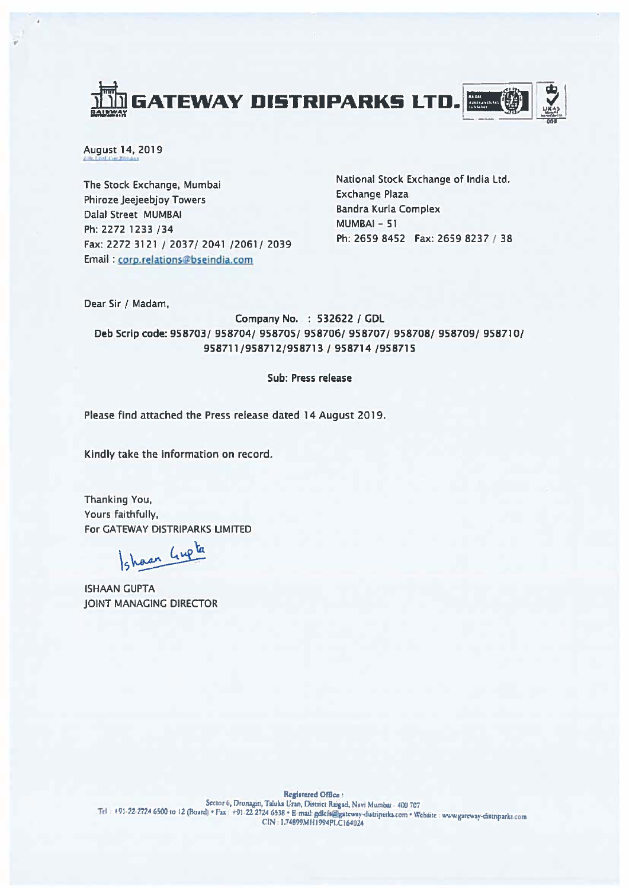

August 14, 2019

The Stock Exchange, Mumbai Phiroze Jeejeebjoy Towers Dalal Street MUMBAI Ph: 2272 1233 /34 Fax: 2272 3121 / 2037/ 2041 /2061/ 2039 Email: corp.relations@bseindia.com

National Stock Exchange of India Ltd. **Exchange Plaza Bandra Kurla Complex** MUMBAI-51 Ph: 2659 8452 Fax: 2659 8237 / 38

Dear Sir / Madam,

Company No. : 532622 / GDL Deb Scrip code: 958703/ 958704/ 958705/ 958706/ 958707/ 958708/ 958709/ 958710/ 958711/958712/958713 / 958714 /958715

## Sub: Press release

Please find attached the Press release dated 14 August 2019.

Kindly take the information on record.

Thanking You, Yours faithfully, For GATEWAY DISTRIPARKS LIMITED

shaan Gupta

**ISHAAN GUPTA JOINT MANAGING DIRECTOR**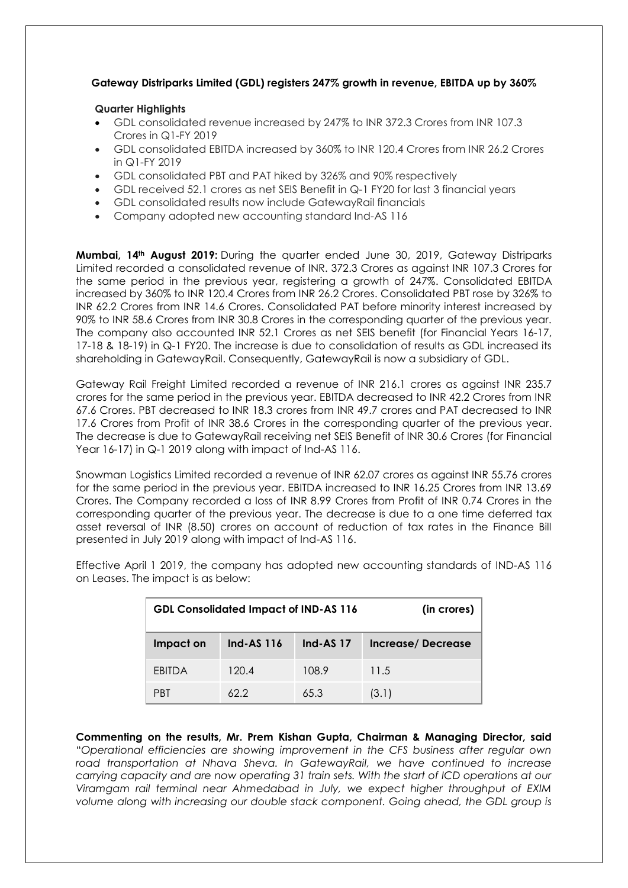## **Gateway Distriparks Limited (GDL) registers 247% growth in revenue, EBITDA up by 360%**

## **Quarter Highlights**

- GDL consolidated revenue increased by 247% to INR 372.3 Crores from INR 107.3 Crores in Q1-FY 2019
- GDL consolidated EBITDA increased by 360% to INR 120.4 Crores from INR 26.2 Crores in Q1-FY 2019
- GDL consolidated PBT and PAT hiked by 326% and 90% respectively
- GDL received 52.1 crores as net SEIS Benefit in Q-1 FY20 for last 3 financial years
- GDL consolidated results now include GatewayRail financials
- Company adopted new accounting standard Ind-AS 116

**Mumbai, 14th August 2019:** During the quarter ended June 30, 2019, Gateway Distriparks Limited recorded a consolidated revenue of INR. 372.3 Crores as against INR 107.3 Crores for the same period in the previous year, registering a growth of 247%. Consolidated EBITDA increased by 360% to INR 120.4 Crores from INR 26.2 Crores. Consolidated PBT rose by 326% to INR 62.2 Crores from INR 14.6 Crores. Consolidated PAT before minority interest increased by 90% to INR 58.6 Crores from INR 30.8 Crores in the corresponding quarter of the previous year. The company also accounted INR 52.1 Crores as net SEIS benefit (for Financial Years 16-17, 17-18 & 18-19) in Q-1 FY20. The increase is due to consolidation of results as GDL increased its shareholding in GatewayRail. Consequently, GatewayRail is now a subsidiary of GDL.

Gateway Rail Freight Limited recorded a revenue of INR 216.1 crores as against INR 235.7 crores for the same period in the previous year. EBITDA decreased to INR 42.2 Crores from INR 67.6 Crores. PBT decreased to INR 18.3 crores from INR 49.7 crores and PAT decreased to INR 17.6 Crores from Profit of INR 38.6 Crores in the corresponding quarter of the previous year. The decrease is due to GatewayRail receiving net SEIS Benefit of INR 30.6 Crores (for Financial Year 16-17) in Q-1 2019 along with impact of Ind-AS 116.

Snowman Logistics Limited recorded a revenue of INR 62.07 crores as against INR 55.76 crores for the same period in the previous year. EBITDA increased to INR 16.25 Crores from INR 13.69 Crores. The Company recorded a loss of INR 8.99 Crores from Profit of INR 0.74 Crores in the corresponding quarter of the previous year. The decrease is due to a one time deferred tax asset reversal of INR (8.50) crores on account of reduction of tax rates in the Finance Bill presented in July 2019 along with impact of Ind-AS 116.

| <b>GDL Consolidated Impact of IND-AS 116</b><br>(in crores) |                   |                 |                   |
|-------------------------------------------------------------|-------------------|-----------------|-------------------|
| Impact on                                                   | <b>Ind-AS 116</b> | <b>Ind-AS17</b> | Increase/Decrease |
| <b>FBITDA</b>                                               | 120.4             | 108.9           | 11.5              |
| <b>PRT</b>                                                  | 622               | 65.3            | (3.1)             |

Effective April 1 2019, the company has adopted new accounting standards of IND-AS 116 on Leases. The impact is as below:

**Commenting on the results, Mr. Prem Kishan Gupta, Chairman & Managing Director, said** "*Operational efficiencies are showing improvement in the CFS business after regular own road transportation at Nhava Sheva. In GatewayRail, we have continued to increase carrying capacity and are now operating 31 train sets. With the start of ICD operations at our Viramgam rail terminal near Ahmedabad in July, we expect higher throughput of EXIM volume along with increasing our double stack component. Going ahead, the GDL group is*